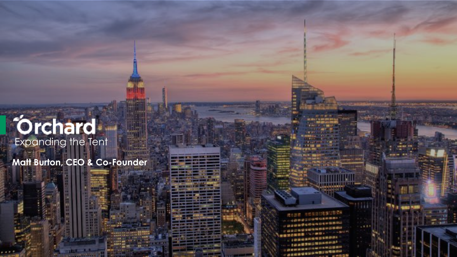# **Orchard**

**Matt Burton, CEO & Co-Founder**

**成立設置 自然自然回復施設開発所 JANACION CARDINAL MONEYAND NOWERS**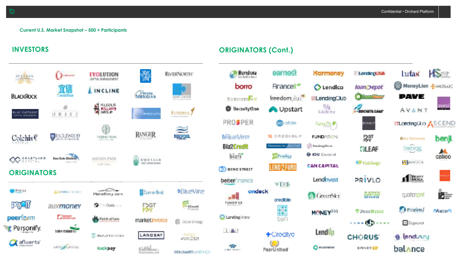

#### **INVESTORS ORIGINATORS (Cont.)**

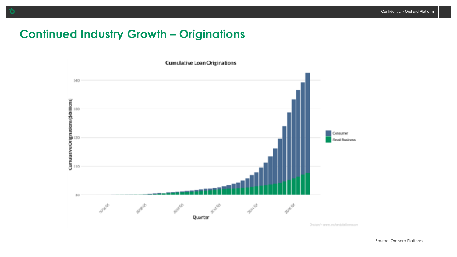# **Continued Industry Growth – Originations**

**Cumulative Loan Originations** 



Droiard - www.profandolaform.com

о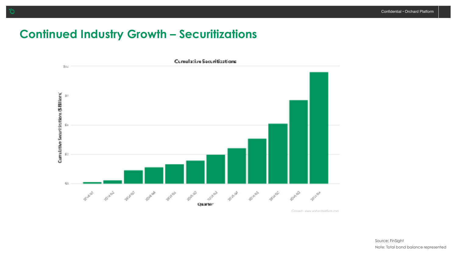### **Continued Industry Growth – Securitizations**



Crossel's your anhandslation can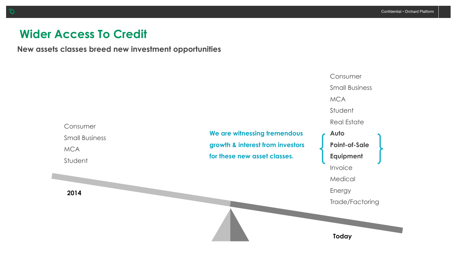## **Wider Access To Credit**

**New assets classes breed new investment opportunities** 

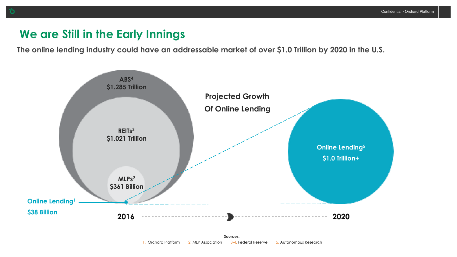#### **We are Still in the Early Innings**

**The online lending industry could have an addressable market of over \$1.0 Trillion by 2020 in the U.S.**

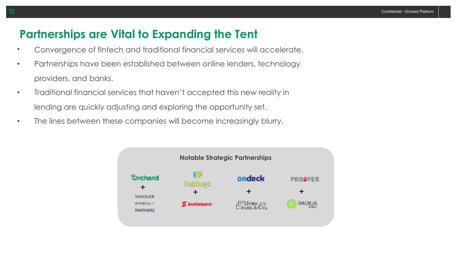## **Partnerships are Vital to Expanding the Tent**

- Convergence of fintech and traditional financial services will accelerate.
- Partnerships have been established between online lenders, technology providers, and banks.
- Traditional financial services that haven't accepted this new reality in lending are quickly adjusting and exploring the opportunity set.
- The lines between these companies will become increasingly blurry.

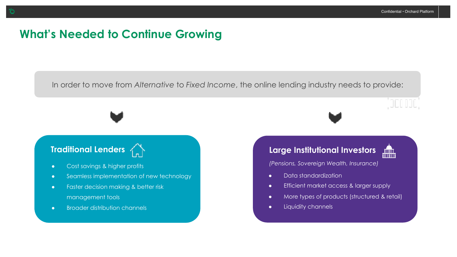## **What's Needed to Continue Growing**

**We Need to Provide Lenders:** In order to move from *Alternative* to *Fixed Income*, the online lending industry needs to provide:

- Cost savings & higher profits
- **.** Seamless implementation of new technology
- **•** Faster decision making & better risk management tools
- Broader distribution channels

#### **Traditional Lenders Large Institutional Investors**



*(Pensions, Sovereign Wealth, Insurance)*

- $\bullet$  Data standardization
- **•** Efficient market access & larger supply
- More types of products (structured & retail)
- **.** Liquidity channels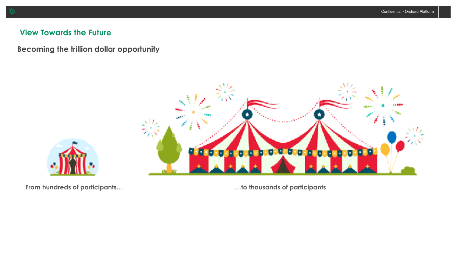#### **View Towards the Future**

**Becoming the trillion dollar opportunity** 





From hundreds of participants... **Example 20 and Structure 1** and thousands of participants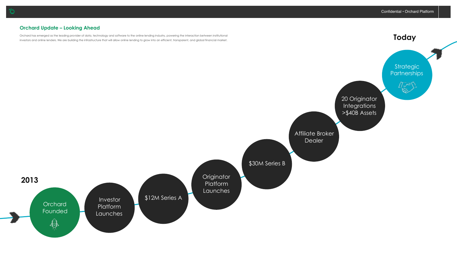#### **Orchard Update – Looking Ahead**

Orchard has emerged as the leading provider of data, technology and software to the online lending industry, powering the interaction between institutional